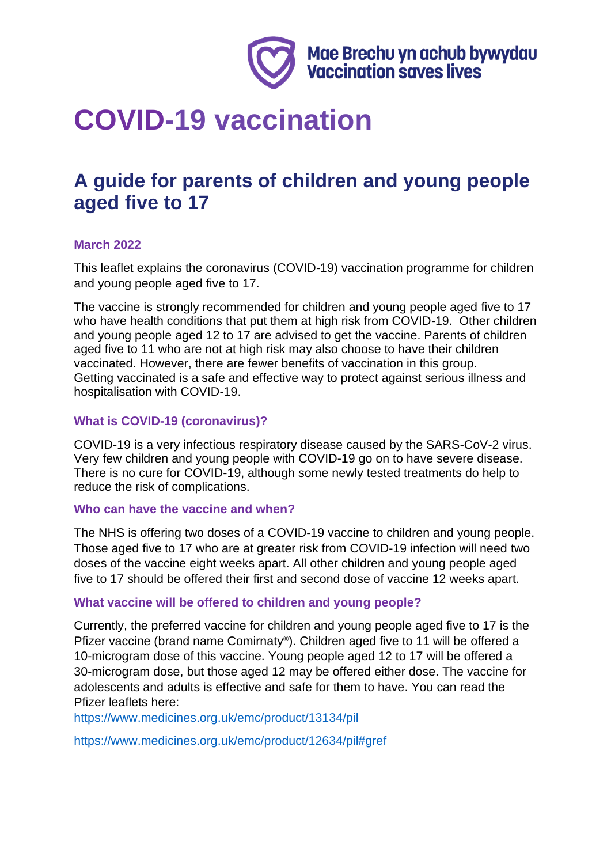

# **COVID-19 vaccination**

# **A guide for parents of children and young people aged five to 17**

# **March 2022**

This leaflet explains the coronavirus (COVID-19) vaccination programme for children and young people aged five to 17.

The vaccine is strongly recommended for children and young people aged five to 17 who have health conditions that put them at high risk from COVID-19. Other children and young people aged 12 to 17 are advised to get the vaccine. Parents of children aged five to 11 who are not at high risk may also choose to have their children vaccinated. However, there are fewer benefits of vaccination in this group. Getting vaccinated is a safe and effective way to protect against serious illness and hospitalisation with COVID-19.

#### **What is COVID-19 (coronavirus)?**

COVID-19 is a very infectious respiratory disease caused by the SARS-CoV-2 virus. Very few children and young people with COVID-19 go on to have severe disease. There is no cure for COVID-19, although some newly tested treatments do help to reduce the risk of complications.

#### **Who can have the vaccine and when?**

The NHS is offering two doses of a COVID-19 vaccine to children and young people. Those aged five to 17 who are at greater risk from COVID-19 infection will need two doses of the vaccine eight weeks apart. All other children and young people aged five to 17 should be offered their first and second dose of vaccine 12 weeks apart.

#### **What vaccine will be offered to children and young people?**

Currently, the preferred vaccine for children and young people aged five to 17 is the Pfizer vaccine (brand name Comirnaty® ). Children aged five to 11 will be offered a 10-microgram dose of this vaccine. Young people aged 12 to 17 will be offered a 30-microgram dose, but those aged 12 may be offered either dose. The vaccine for adolescents and adults is effective and safe for them to have. You can read the Pfizer leaflets here:

<https://www.medicines.org.uk/emc/product/13134/pil>

<https://www.medicines.org.uk/emc/product/12634/pil#gref>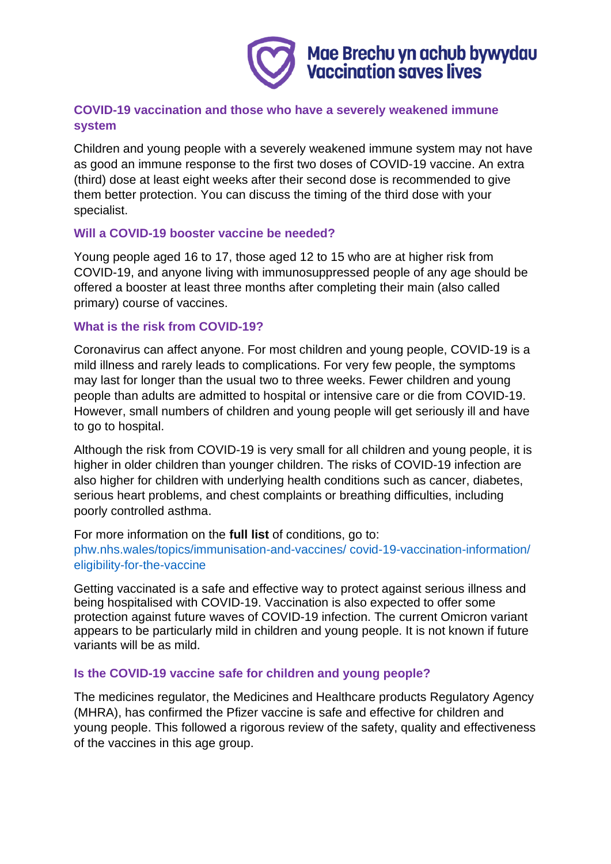

# **COVID-19 vaccination and those who have a severely weakened immune system**

Children and young people with a severely weakened immune system may not have as good an immune response to the first two doses of COVID-19 vaccine. An extra (third) dose at least eight weeks after their second dose is recommended to give them better protection. You can discuss the timing of the third dose with your specialist.

# **Will a COVID-19 booster vaccine be needed?**

Young people aged 16 to 17, those aged 12 to 15 who are at higher risk from COVID-19, and anyone living with immunosuppressed people of any age should be offered a booster at least three months after completing their main (also called primary) course of vaccines.

# **What is the risk from COVID-19?**

Coronavirus can affect anyone. For most children and young people, COVID-19 is a mild illness and rarely leads to complications. For very few people, the symptoms may last for longer than the usual two to three weeks. Fewer children and young people than adults are admitted to hospital or intensive care or die from COVID-19. However, small numbers of children and young people will get seriously ill and have to go to hospital.

Although the risk from COVID-19 is very small for all children and young people, it is higher in older children than younger children. The risks of COVID-19 infection are also higher for children with underlying health conditions such as cancer, diabetes, serious heart problems, and chest complaints or breathing difficulties, including poorly controlled asthma.

For more information on the **full list** of conditions, go to: [phw.nhs.wales/topics/immunisation-and-vaccines/ covid-19-vaccination-information/](https://phw.nhs.wales/topics/immunisation-and-vaccines/covid-19-vaccination-information/eligibility-for-the-vaccine/)  [eligibility-for-the-vaccine](https://phw.nhs.wales/topics/immunisation-and-vaccines/covid-19-vaccination-information/eligibility-for-the-vaccine/)

Getting vaccinated is a safe and effective way to protect against serious illness and being hospitalised with COVID-19. Vaccination is also expected to offer some protection against future waves of COVID-19 infection. The current Omicron variant appears to be particularly mild in children and young people. It is not known if future variants will be as mild.

# **Is the COVID-19 vaccine safe for children and young people?**

The medicines regulator, the Medicines and Healthcare products Regulatory Agency (MHRA), has confirmed the Pfizer vaccine is safe and effective for children and young people. This followed a rigorous review of the safety, quality and effectiveness of the vaccines in this age group.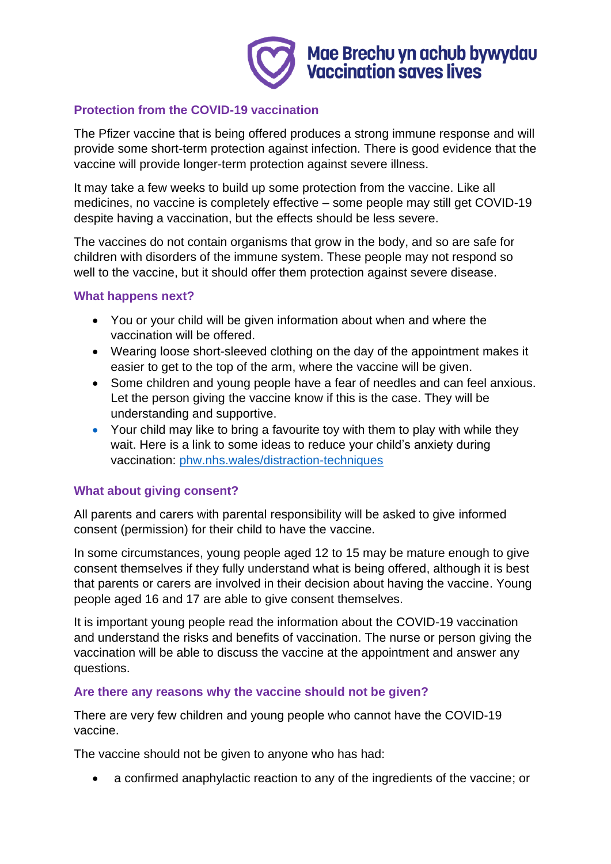

# **Protection from the COVID-19 vaccination**

The Pfizer vaccine that is being offered produces a strong immune response and will provide some short-term protection against infection. There is good evidence that the vaccine will provide longer-term protection against severe illness.

It may take a few weeks to build up some protection from the vaccine. Like all medicines, no vaccine is completely effective – some people may still get COVID-19 despite having a vaccination, but the effects should be less severe.

The vaccines do not contain organisms that grow in the body, and so are safe for children with disorders of the immune system. These people may not respond so well to the vaccine, but it should offer them protection against severe disease.

#### **What happens next?**

- You or your child will be given information about when and where the vaccination will be offered.
- Wearing loose short-sleeved clothing on the day of the appointment makes it easier to get to the top of the arm, where the vaccine will be given.
- Some children and young people have a fear of needles and can feel anxious. Let the person giving the vaccine know if this is the case. They will be understanding and supportive.
- Your child may like to bring a favourite toy with them to play with while they wait. Here is a link to some ideas to reduce your child's anxiety during vaccination: [phw.nhs.wales/distraction-techniques](https://phw.nhs.wales/topics/immunisation-and-vaccines/covid-19-vaccination-information/resources-for-health-and-social-care-professionals/training-resources-documents/distraction-techniques-to-minimise-a-childs-anxiety-during-vaccination/)

# **What about giving consent?**

All parents and carers with parental responsibility will be asked to give informed consent (permission) for their child to have the vaccine.

In some circumstances, young people aged 12 to 15 may be mature enough to give consent themselves if they fully understand what is being offered, although it is best that parents or carers are involved in their decision about having the vaccine. Young people aged 16 and 17 are able to give consent themselves.

It is important young people read the information about the COVID-19 vaccination and understand the risks and benefits of vaccination. The nurse or person giving the vaccination will be able to discuss the vaccine at the appointment and answer any questions.

# **Are there any reasons why the vaccine should not be given?**

There are very few children and young people who cannot have the COVID-19 vaccine.

The vaccine should not be given to anyone who has had:

• a confirmed anaphylactic reaction to any of the ingredients of the vaccine; or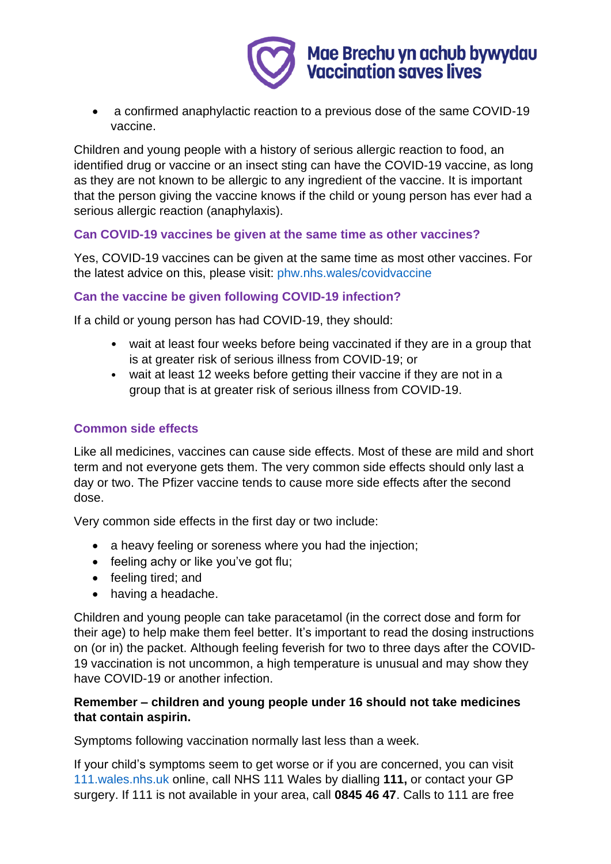

• a confirmed anaphylactic reaction to a previous dose of the same COVID-19 vaccine.

Children and young people with a history of serious allergic reaction to food, an identified drug or vaccine or an insect sting can have the COVID-19 vaccine, as long as they are not known to be allergic to any ingredient of the vaccine. It is important that the person giving the vaccine knows if the child or young person has ever had a serious allergic reaction (anaphylaxis).

# **Can COVID-19 vaccines be given at the same time as other vaccines?**

Yes, COVID-19 vaccines can be given at the same time as most other vaccines. For the latest advice on this, please visit: [phw.nhs.wales/covidvaccine](https://phw.nhs.wales/topics/immunisation-and-vaccines/covid-19-vaccination-information/)

# **Can the vaccine be given following COVID-19 infection?**

If a child or young person has had COVID-19, they should:

- wait at least four weeks before being vaccinated if they are in a group that is at greater risk of serious illness from COVID-19; or
- wait at least 12 weeks before getting their vaccine if they are not in a group that is at greater risk of serious illness from COVID-19.

# **Common side effects**

Like all medicines, vaccines can cause side effects. Most of these are mild and short term and not everyone gets them. The very common side effects should only last a day or two. The Pfizer vaccine tends to cause more side effects after the second dose.

Very common side effects in the first day or two include:

- a heavy feeling or soreness where you had the injection;
- feeling achy or like you've got flu;
- feeling tired; and
- having a headache.

Children and young people can take paracetamol (in the correct dose and form for their age) to help make them feel better. It's important to read the dosing instructions on (or in) the packet. Although feeling feverish for two to three days after the COVID-19 vaccination is not uncommon, a high temperature is unusual and may show they have COVID-19 or another infection.

# **Remember – children and young people under 16 should not take medicines that contain aspirin.**

Symptoms following vaccination normally last less than a week.

If your child's symptoms seem to get worse or if you are concerned, you can visit [111.wales.nhs.uk](https://111.wales.nhs.uk/) online, call NHS 111 Wales by dialling **111,** or contact your GP surgery. If 111 is not available in your area, call **0845 46 47**. Calls to 111 are free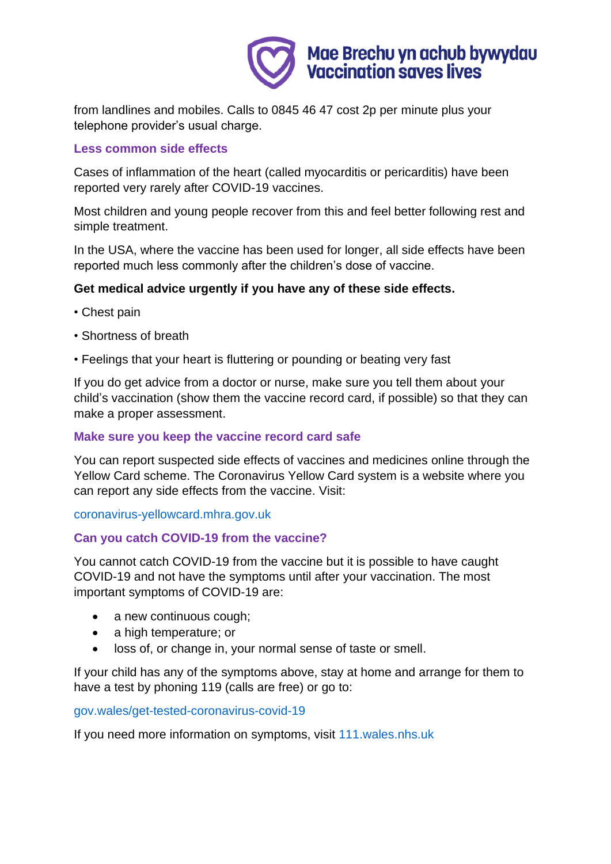

from landlines and mobiles. Calls to 0845 46 47 cost 2p per minute plus your telephone provider's usual charge.

# **Less common side effects**

Cases of inflammation of the heart (called myocarditis or pericarditis) have been reported very rarely after COVID-19 vaccines.

Most children and young people recover from this and feel better following rest and simple treatment.

In the USA, where the vaccine has been used for longer, all side effects have been reported much less commonly after the children's dose of vaccine.

# **Get medical advice urgently if you have any of these side effects.**

- Chest pain
- Shortness of breath
- Feelings that your heart is fluttering or pounding or beating very fast

If you do get advice from a doctor or nurse, make sure you tell them about your child's vaccination (show them the vaccine record card, if possible) so that they can make a proper assessment.

# **Make sure you keep the vaccine record card safe**

You can report suspected side effects of vaccines and medicines online through the Yellow Card scheme. The Coronavirus Yellow Card system is a website where you can report any side effects from the vaccine. Visit:

[coronavirus-yellowcard.mhra.gov.uk](https://coronavirus-yellowcard.mhra.gov.uk/)

# **Can you catch COVID-19 from the vaccine?**

You cannot catch COVID-19 from the vaccine but it is possible to have caught COVID-19 and not have the symptoms until after your vaccination. The most important symptoms of COVID-19 are:

- a new continuous cough;
- a high temperature; or
- loss of, or change in, your normal sense of taste or smell.

If your child has any of the symptoms above, stay at home and arrange for them to have a test by phoning 119 (calls are free) or go to:

# [gov.wales/get-tested-coronavirus-covid-19](https://gov.wales/get-tested-coronavirus-covid-19)

If you need more information on symptoms, visit [111.wales.nhs.uk](https://111.wales.nhs.uk/)